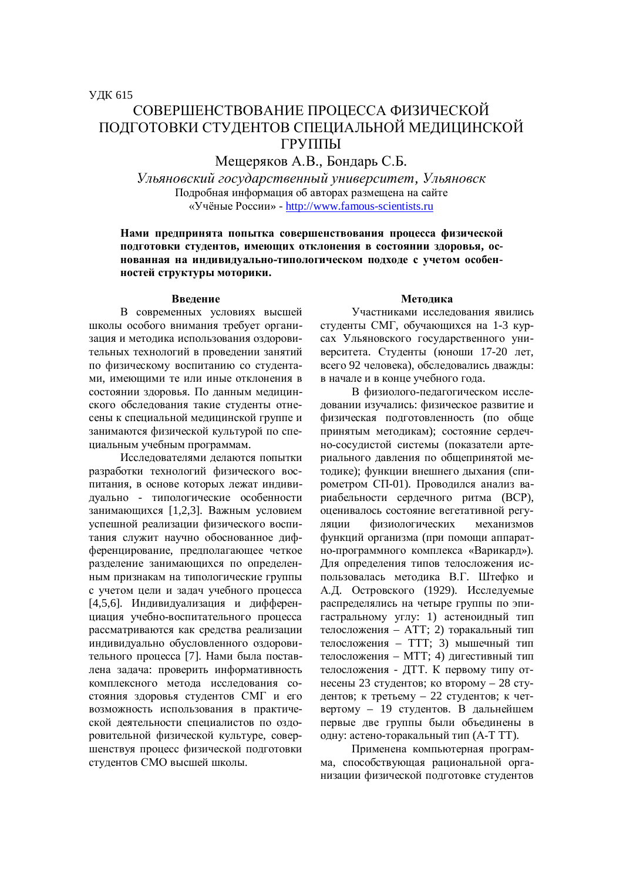# СОВЕРШЕНСТВОВАНИЕ ПРОШЕССА ФИЗИЧЕСКОЙ ПОДГОТОВКИ СТУДЕНТОВ СПЕЦИАЛЬНОЙ МЕДИЦИНСКОЙ ГРУППЫ

Мещеряков А.В., Бондарь С.Б.

*ɍɥɶɹɧɨɜɫɤɢɣɝɨɫɭɞɚɪɫɬɜɟɧɧɵɣɭɧɢɜɟɪɫɢɬɟɬ, ɍɥɶɹɧɨɜɫɤ* Подробная информация об авторах размещена на сайте «Учёные России» - http://www.famous-scientists.ru

## Нами предпринята попытка совершенствования процесса физической ПОДГОТОВКИ СТУДЕНТОВ, ИМЕЮЩИХ ОТКЛОНЕНИЯ В СОСТОЯНИИ ЗДОРОВЬЯ, ОС**нованная на индивидуально-типологическом подходе с учетом особен-НОСТЕЙ СТРУКТУРЫ МОТОРИКИ.**

#### **Введение**

В современных условиях высшей школы особого внимания требует организация и метолика использования оздоровительных технологий в проведении занятий по физическому воспитанию со студентами, имеющими те или иные отклонения в состоянии здоровья. По данным медицинского обследования такие студенты отнесены к специальной медицинской группе и занимаются физической культурой по специальным учебным программам.

Исслелователями лелаются попытки разработки технологий физического воспитания, в основе которых лежат индивидуально - типологические особенности занимающихся [1,2,3]. Важным условием успешной реализации физического воспитания служит научно обоснованное лифференцирование, предполагающее четкое разделение занимающихся по определенным признакам на типологические группы с учетом цели и задач учебного процесса [4,5,6]. Индивидуализация и дифференциация учебно-воспитательного процесса рассматриваются как средства реализации индивидуально обусловленного оздоровительного процесса [7]. Нами была поставлена задача: проверить информативность комплексного метода исследования состояния здоровья студентов СМГ и его возможность использования в практической деятельности специалистов по оздоровительной физической культуре, совершенствуя процесс физической подготовки стулентов СМО высшей школы.

### **Метолика**

Участниками исслелования явились студенты СМГ, обучающихся на 1-3 курсах Ульяновского государственного университета. Студенты (юноши 17-20 лет, всего 92 человека), обследовались дважды: в начале и в конце учебного года.

В физиолого-педагогическом исследовании изучались: физическое развитие и физическая подготовленность (по обще принятым методикам); состояние сердечно-сосудистой системы (показатели артериального давления по обшепринятой методике); функции внешнего дыхания (спирометром СП-01). Проводился анализ вариабельности сердечного ритма (ВСР), оценивалось состояние вегетативной регуляции физиологических механизмов функций организма (при помощи аппаратно-программного комплекса «Варикард»). Для определения типов телосложения использовалась методика В.Г. Штефко и А.Д. Островского (1929). Исследуемые распределялись на четыре группы по эпигастральному углу: 1) астеноидный тип телосложения - ATT; 2) торакальный тип телосложения – ТТТ: 3) мышечный тип телосложения – МТТ; 4) дигестивный тип телосложения - ДТТ. К первому типу отнесены 23 студентов; ко второму – 28 студентов; к третьему – 22 студентов; к четвертому – 19 студентов. В дальнейшем первые две группы были объединены в одну: астено-торакальный тип (А-Т ТТ).

Применена компьютерная программа, способствующая рациональной организации физической подготовке студентов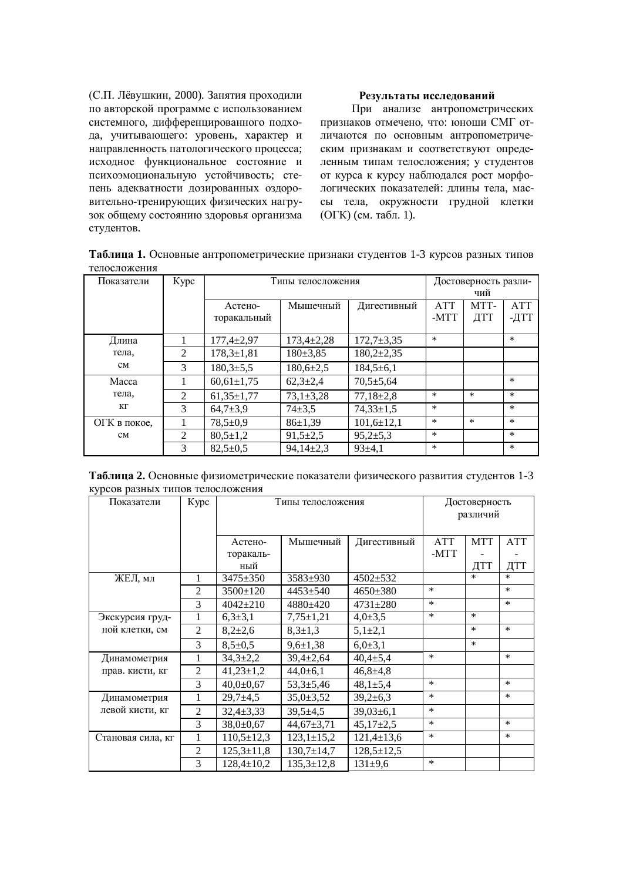(С.П. Лёвушкин, 2000). Занятия проходили по авторской программе с использованием системного, дифференцированного подхода, учитывающего: уровень, характер и направленность патологического процесса; исходное функциональное состояние и психоэмоциональную устойчивость; степень адекватности дозированных оздоровительно-тренирующих физических нагрузок общему состоянию здоровья организма студентов.

## Результаты исследований

При анализе антропометрических признаков отмечено, что: юноши СМГ отличаются по основным антропометрическим признакам и соответствуют определенным типам телосложения; у студентов от курса к курсу наблюдался рост морфологических показателей: длины тела, массы тела, окружности грудной клетки (ОГК) (см. табл. 1).

Таблица 1. Основные антропометрические признаки студентов 1-3 курсов разных типов телосложения

| Показатели         | Kypc           | Типы телосложения      |                 |                  | Достоверность разли-<br>чий |             |                    |
|--------------------|----------------|------------------------|-----------------|------------------|-----------------------------|-------------|--------------------|
|                    |                | Астено-<br>торакальный | Мышечный        | Дигестивный      | <b>ATT</b><br>-MTT          | MTT-<br>ДТТ | <b>ATT</b><br>-ДТТ |
| Длина              | 1              | $177,4+2,97$           | $173,4+2,28$    | $172,7+3,35$     | $\ast$                      |             | $\ast$             |
| тела.<br>CM        | 2              | $178,3 \pm 1,81$       | $180 \pm 3,85$  | $180,2{\pm}2,35$ |                             |             |                    |
|                    | 3              | $180,3{\pm}5,5$        | $180,6{\pm}2,5$ | $184,5 \pm 6,1$  |                             |             |                    |
| Macca              | 1              | $60,61 \pm 1,75$       | $62,3{\pm}2,4$  | $70,5 \pm 5,64$  |                             |             | $\ast$             |
| тела.<br>KГ        | 2              | $61,35 \pm 1,77$       | $73,1 \pm 3,28$ | $77,18 \pm 2,8$  | $\ast$                      | $\ast$      | $\ast$             |
|                    | 3              | $64,7{\pm}3,9$         | $74 + 3,5$      | $74,33 \pm 1,5$  | $\ast$                      |             | $\ast$             |
| ОГК в покое.<br>CM |                | $78,5 \pm 0.9$         | 86±1,39         | $101,6{\pm}12,1$ | $\ast$                      | $\ast$      | $\ast$             |
|                    | $\mathfrak{D}$ | $80,5 \pm 1,2$         | $91,5 \pm 2,5$  | $95,2{\pm}5,3$   | $\ast$                      |             | $\ast$             |
|                    | 3              | $82,5+0,5$             | $94,14\pm2,3$   | $93 \pm 4.1$     | $\ast$                      |             | $\ast$             |

**Таблица 2.** Основные физиометрические показатели физического развития студентов 1-3 KVDCOB DA3HЫХ ТИПОВ ТЕПОСЛОЖЕНИЯ

| Показатели        | Kypc           | Типы телосложения |                  |                  | Достоверность<br>различий |            |            |
|-------------------|----------------|-------------------|------------------|------------------|---------------------------|------------|------------|
|                   |                | Астено-           | Мышечный         | Дигестивный      | <b>ATT</b>                | <b>MTT</b> | <b>ATT</b> |
|                   |                | торакаль-         |                  |                  | -MTT                      |            |            |
|                   |                | ный               |                  |                  |                           | ДТТ        | ДТТ        |
| ЖЕЛ, мл           | 1              | $3475 + 350$      | $3583+930$       | 4502±532         |                           | $\ast$     | $\ast$     |
|                   | $\overline{2}$ | $3500 \pm 120$    | $4453 + 540$     | $4650 \pm 380$   | $\ast$                    |            | $\ast$     |
|                   | 3              | $4042 \pm 210$    | $4880+420$       | $4731 \pm 280$   | $\ast$                    |            | $\ast$     |
| Экскурсия груд-   |                | $6,3{\pm}3,1$     | $7,75 \pm 1,21$  | $4,0{\pm}3,5$    | $\ast$                    | $\ast$     |            |
| ной клетки, см    | $\overline{2}$ | $8,2{\pm}2,6$     | $8,3{\pm}1,3$    | $5,1{\pm}2,1$    |                           | $\ast$     | $\ast$     |
|                   | 3              | $8,5 \pm 0.5$     | $9,6 \pm 1,38$   | $6,0{\pm}3,1$    |                           | $\ast$     |            |
| Динамометрия      | 1              | $34,3{\pm}2,2$    | $39,4 \pm 2,64$  | $40,4{\pm}5,4$   | $\ast$                    |            | $\ast$     |
| прав. кисти, кг   | $\overline{2}$ | $41,23 \pm 1,2$   | $44,0{\pm}6,1$   | $46,8{\pm}4,8$   |                           |            |            |
|                   | 3              | $40,0{\pm}0,67$   | $53,3 \pm 5,46$  | $48,1 \pm 5,4$   | $\ast$                    |            | $\ast$     |
| Динамометрия      | 1              | $29,7+4,5$        | $35,0 \pm 3,52$  | $39,2{\pm}6,3$   | $\ast$                    |            | $\ast$     |
| левой кисти, кг   | $\overline{2}$ | $32,4 \pm 3,33$   | $39,5 \pm 4,5$   | $39,03\pm6,1$    | $\ast$                    |            |            |
|                   | 3              | $38.0 \pm 0.67$   | $44,67 \pm 3,71$ | $45,17\pm2,5$    | $\ast$                    |            | $\ast$     |
| Становая сила, кг | 1              | $110,5 \pm 12,3$  | $123,1 \pm 15,2$ | $121,4 \pm 13,6$ | $\ast$                    |            | $\ast$     |
|                   | $\overline{2}$ | $125,3 \pm 11,8$  | $130,7{\pm}14,7$ | $128,5 \pm 12,5$ |                           |            |            |
|                   | 3              | $128,4 \pm 10,2$  | $135,3 \pm 12,8$ | $131\pm9.6$      | $\ast$                    |            |            |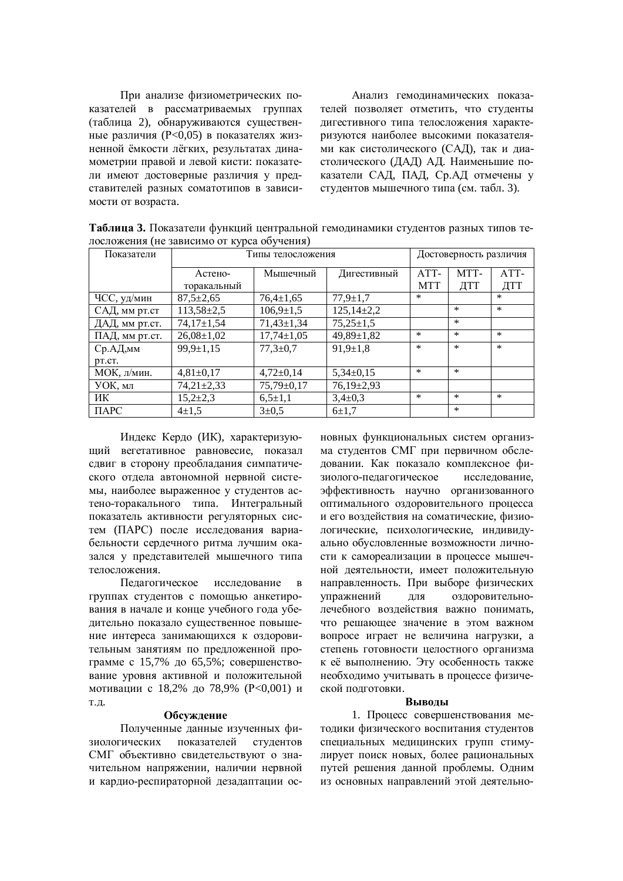При анализе физиометрических показателей в рассматриваемых группах (таблица 2), обнаруживаются существенные различия ( $P<0.05$ ) в показателях жизненной ёмкости лёгких, результатах динамометрии правой и левой кисти: показатели имеют достоверные различия у представителей разных соматотипов в зависимости от возраста.

Анализ гемолинамических показателей позволяет отметить, что студенты дигестивного типа телосложения характеризуются наиболее высокими показателями как систолического (САД), так и диастолического (ДАД) АД. Наименьшие показатели САД, ПАД, Ср.АД отмечены у студентов мышечного типа (см. табл. 3).

| Показатели     | Типы телосложения |                  |                  |            | Достоверность различия |        |  |
|----------------|-------------------|------------------|------------------|------------|------------------------|--------|--|
|                | Астено-           | Мышечный         | Дигестивный      | ATT-       | MTT-                   | ATT-   |  |
|                | торакальный       |                  |                  | <b>MTT</b> | ДТТ                    | ДТТ    |  |
| ЧСС, уд/мин    | $87,5 \pm 2,65$   | $76,4{\pm}1,65$  | $77,9 \pm 1,7$   | $\ast$     |                        | $\ast$ |  |
| САД, мм рт.ст  | $113,58 \pm 2,5$  | $106,9 \pm 1.5$  | $125,14\pm2,2$   |            | $\ast$                 | $\ast$ |  |
| ДАД, мм рт.ст. | $74,17 \pm 1,54$  | $71,43 \pm 1,34$ | $75,25 \pm 1,5$  |            | $\ast$                 |        |  |
| ПАД, мм рт.ст. | $26,08 \pm 1,02$  | $17,74 \pm 1,05$ | $49,89 \pm 1,82$ | $\ast$     | $\ast$                 | $\ast$ |  |
| Ср.АД,мм       | $99,9 \pm 1,15$   | $77,3 \pm 0.7$   | $91,9 \pm 1,8$   | $\ast$     | $\ast$                 | $\ast$ |  |
| DT.CT.         |                   |                  |                  |            |                        |        |  |
| МОК, л/мин.    | $4,81\pm0,17$     | $4,72\pm0,14$    | $5,34\pm0,15$    | $\ast$     | $\ast$                 |        |  |
| УОК, мл        | $74,21 \pm 2,33$  | $75,79 \pm 0,17$ | $76,19\pm2,93$   |            |                        |        |  |
| ИК             | $15,2{\pm}2,3$    | $6.5 \pm 1.1$    | $3,4\pm0,3$      | $\ast$     | $\ast$                 | $\ast$ |  |
| $\Pi$ APC      | $4 + 1.5$         | $3 \pm 0.5$      | $6 + 1,7$        |            | $\ast$                 |        |  |

Таблица 3. Показатели функций центральной гемодинамики студентов разных типов телосложения (не зависимо от курса обучения)

Индекс Кердо (ИК), характеризующий вегетативное равновесие, показал сдвиг в сторону преобладания симпатического отдела автономной нервной системы, наиболее выраженное у студентов астено-торакального типа. Интегральный показатель активности регуляторных систем (ПАРС) после исследования вариабельности сердечного ритма лучшим оказался у представителей мышечного типа телосложения.

Пелагогическое исслелование группах студентов с помошью анкетирования в начале и конце учебного года убедительно показало существенное повышение интереса занимающихся к оздоровительным занятиям по предложенной программе с 15,7% до 65,5%; совершенствование уровня активной и положительной мотивации с 18,2% до 78,9% (Р<0,001) и т.д.

#### Обсуждение

Полученные данные изученных физиологических показателей студентов СМГ объективно свидетельствуют о значительном напряжении, наличии нервной и кардио-респираторной дезадаптации основных функциональных систем организма студентов СМГ при первичном обследовании. Как показало комплексное физиолого-педагогическое исследование, эффективность научно организованного оптимального оздоровительного процесса и его воздействия на соматические, физиологические, психологические, индивидуально обусловленные возможности личности к самореализации в процессе мышечной деятельности, имеет положительную направленность. При выборе физических vпражнений для оздоровительнолечебного воздействия важно понимать. что решающее значение в этом важном вопросе играет не величина нагрузки, а степень готовности целостного организма к её выполнению. Эту особенность также необходимо учитывать в процессе физической подготовки.

#### **Выволы**

1. Процесс совершенствования методики физического воспитания студентов специальных медицинских групп стимулирует поиск новых, более рациональных путей решения данной проблемы. Одним из основных направлений этой деятельно-